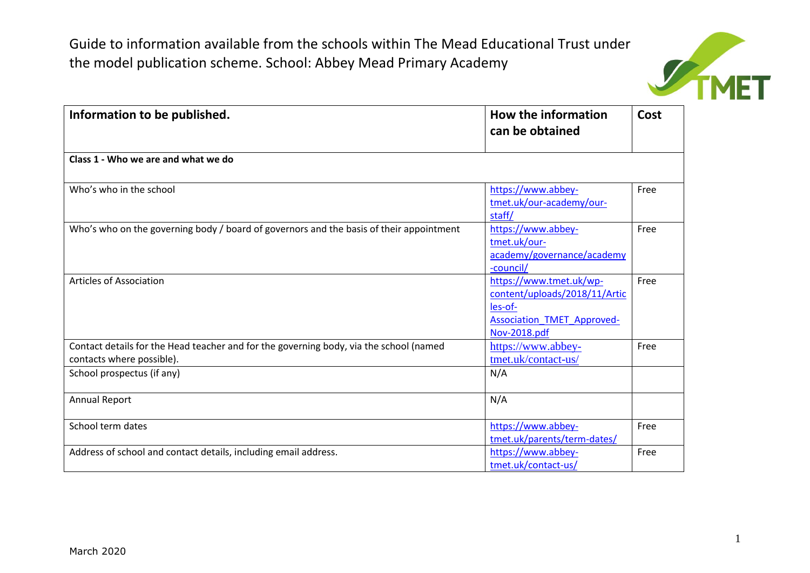

| Information to be published.                                                                                        | How the information<br>can be obtained                                                                                   | Cost |
|---------------------------------------------------------------------------------------------------------------------|--------------------------------------------------------------------------------------------------------------------------|------|
| Class 1 - Who we are and what we do                                                                                 |                                                                                                                          |      |
| Who's who in the school                                                                                             | https://www.abbey-<br>tmet.uk/our-academy/our-<br>staff/                                                                 | Free |
| Who's who on the governing body / board of governors and the basis of their appointment                             | https://www.abbey-<br>tmet.uk/our-<br>academy/governance/academy<br>-council/                                            | Free |
| <b>Articles of Association</b>                                                                                      | https://www.tmet.uk/wp-<br>content/uploads/2018/11/Artic<br>les-of-<br><b>Association TMET Approved-</b><br>Nov-2018.pdf | Free |
| Contact details for the Head teacher and for the governing body, via the school (named<br>contacts where possible). | https://www.abbey-<br>tmet.uk/contact-us/                                                                                | Free |
| School prospectus (if any)                                                                                          | N/A                                                                                                                      |      |
| <b>Annual Report</b>                                                                                                | N/A                                                                                                                      |      |
| School term dates                                                                                                   | https://www.abbey-<br>tmet.uk/parents/term-dates/                                                                        | Free |
| Address of school and contact details, including email address.                                                     | https://www.abbey-<br>tmet.uk/contact-us/                                                                                | Free |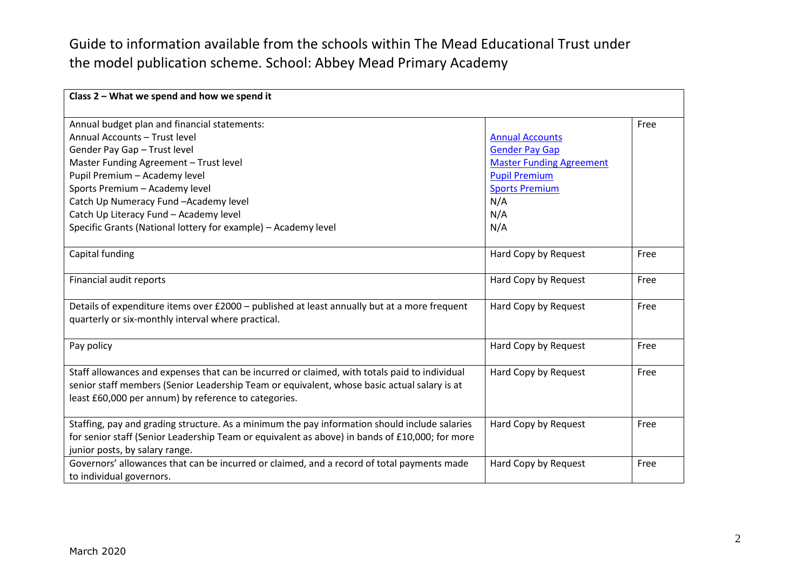| Class 2 - What we spend and how we spend it                                                    |                                 |      |
|------------------------------------------------------------------------------------------------|---------------------------------|------|
| Annual budget plan and financial statements:                                                   |                                 | Free |
| Annual Accounts - Trust level                                                                  | <b>Annual Accounts</b>          |      |
| Gender Pay Gap - Trust level                                                                   | <b>Gender Pay Gap</b>           |      |
| Master Funding Agreement - Trust level                                                         | <b>Master Funding Agreement</b> |      |
| Pupil Premium - Academy level                                                                  | <b>Pupil Premium</b>            |      |
| Sports Premium - Academy level                                                                 | <b>Sports Premium</b>           |      |
| Catch Up Numeracy Fund -Academy level                                                          | N/A                             |      |
| Catch Up Literacy Fund - Academy level                                                         | N/A                             |      |
| Specific Grants (National lottery for example) - Academy level                                 | N/A                             |      |
|                                                                                                |                                 |      |
| Capital funding                                                                                | Hard Copy by Request            | Free |
|                                                                                                |                                 |      |
| Financial audit reports                                                                        | Hard Copy by Request            | Free |
|                                                                                                |                                 |      |
| Details of expenditure items over £2000 - published at least annually but at a more frequent   | Hard Copy by Request            | Free |
| quarterly or six-monthly interval where practical.                                             |                                 |      |
|                                                                                                |                                 |      |
| Pay policy                                                                                     | Hard Copy by Request            | Free |
|                                                                                                |                                 |      |
| Staff allowances and expenses that can be incurred or claimed, with totals paid to individual  | Hard Copy by Request            | Free |
| senior staff members (Senior Leadership Team or equivalent, whose basic actual salary is at    |                                 |      |
| least £60,000 per annum) by reference to categories.                                           |                                 |      |
|                                                                                                |                                 |      |
| Staffing, pay and grading structure. As a minimum the pay information should include salaries  | Hard Copy by Request            | Free |
| for senior staff (Senior Leadership Team or equivalent as above) in bands of £10,000; for more |                                 |      |
| junior posts, by salary range.                                                                 |                                 |      |
| Governors' allowances that can be incurred or claimed, and a record of total payments made     | Hard Copy by Request            | Free |
| to individual governors.                                                                       |                                 |      |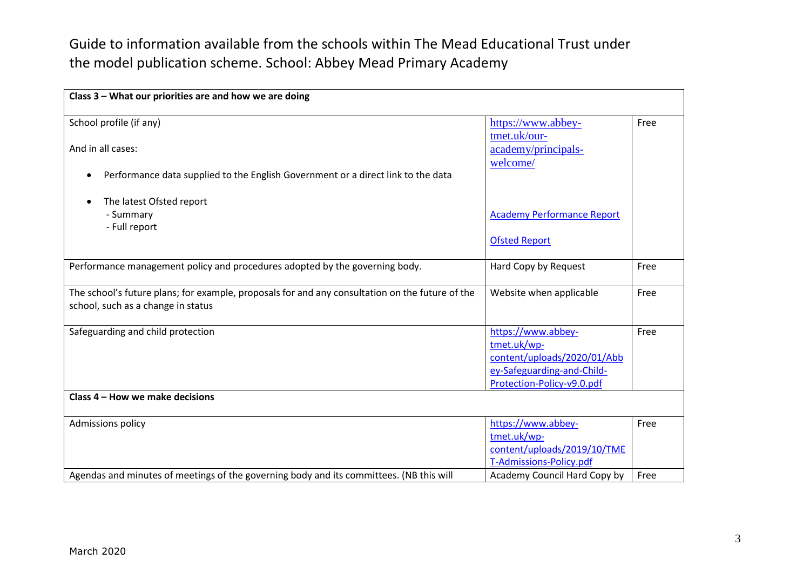| Class 3 - What our priorities are and how we are doing                                                                                |                                                                                                                              |      |
|---------------------------------------------------------------------------------------------------------------------------------------|------------------------------------------------------------------------------------------------------------------------------|------|
| School profile (if any)                                                                                                               | https://www.abbey-<br>tmet.uk/our-                                                                                           | Free |
| And in all cases:                                                                                                                     | academy/principals-<br>welcome/                                                                                              |      |
| Performance data supplied to the English Government or a direct link to the data<br>$\bullet$                                         |                                                                                                                              |      |
| The latest Ofsted report                                                                                                              |                                                                                                                              |      |
| - Summary<br>- Full report                                                                                                            | <b>Academy Performance Report</b>                                                                                            |      |
|                                                                                                                                       | <b>Ofsted Report</b>                                                                                                         |      |
| Performance management policy and procedures adopted by the governing body.                                                           | Hard Copy by Request                                                                                                         | Free |
| The school's future plans; for example, proposals for and any consultation on the future of the<br>school, such as a change in status | Website when applicable                                                                                                      | Free |
| Safeguarding and child protection                                                                                                     | https://www.abbey-<br>tmet.uk/wp-<br>content/uploads/2020/01/Abb<br>ey-Safeguarding-and-Child-<br>Protection-Policy-v9.0.pdf | Free |
| Class 4 - How we make decisions                                                                                                       |                                                                                                                              |      |
| <b>Admissions policy</b>                                                                                                              | https://www.abbey-<br>tmet.uk/wp-<br>content/uploads/2019/10/TME<br>T-Admissions-Policy.pdf                                  | Free |
| Agendas and minutes of meetings of the governing body and its committees. (NB this will                                               | Academy Council Hard Copy by                                                                                                 | Free |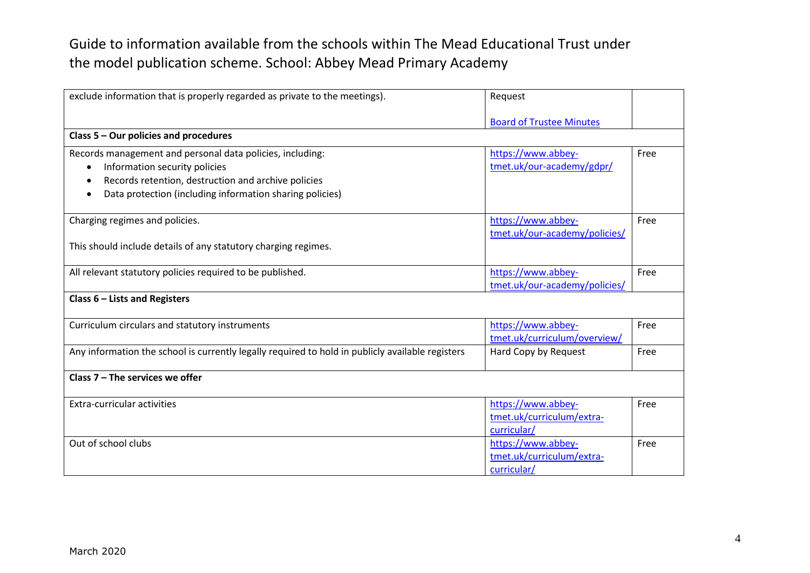| exclude information that is properly regarded as private to the meetings).                       | Request                         |      |
|--------------------------------------------------------------------------------------------------|---------------------------------|------|
|                                                                                                  |                                 |      |
|                                                                                                  | <b>Board of Trustee Minutes</b> |      |
| Class 5 - Our policies and procedures                                                            |                                 |      |
| Records management and personal data policies, including:                                        | https://www.abbey-              | Free |
| Information security policies                                                                    | tmet.uk/our-academy/gdpr/       |      |
| Records retention, destruction and archive policies                                              |                                 |      |
| Data protection (including information sharing policies)                                         |                                 |      |
| Charging regimes and policies.                                                                   | https://www.abbey-              | Free |
|                                                                                                  | tmet.uk/our-academy/policies/   |      |
| This should include details of any statutory charging regimes.                                   |                                 |      |
| All relevant statutory policies required to be published.                                        | https://www.abbey-              | Free |
|                                                                                                  | tmet.uk/our-academy/policies/   |      |
| Class $6$ – Lists and Registers                                                                  |                                 |      |
| Curriculum circulars and statutory instruments                                                   | https://www.abbey-              | Free |
|                                                                                                  | tmet.uk/curriculum/overview/    |      |
| Any information the school is currently legally required to hold in publicly available registers | Hard Copy by Request            | Free |
| Class $7$ – The services we offer                                                                |                                 |      |
| <b>Extra-curricular activities</b>                                                               | https://www.abbey-              | Free |
|                                                                                                  | tmet.uk/curriculum/extra-       |      |
|                                                                                                  | curricular/                     |      |
| Out of school clubs                                                                              | https://www.abbey-              | Free |
|                                                                                                  | tmet.uk/curriculum/extra-       |      |
|                                                                                                  | curricular/                     |      |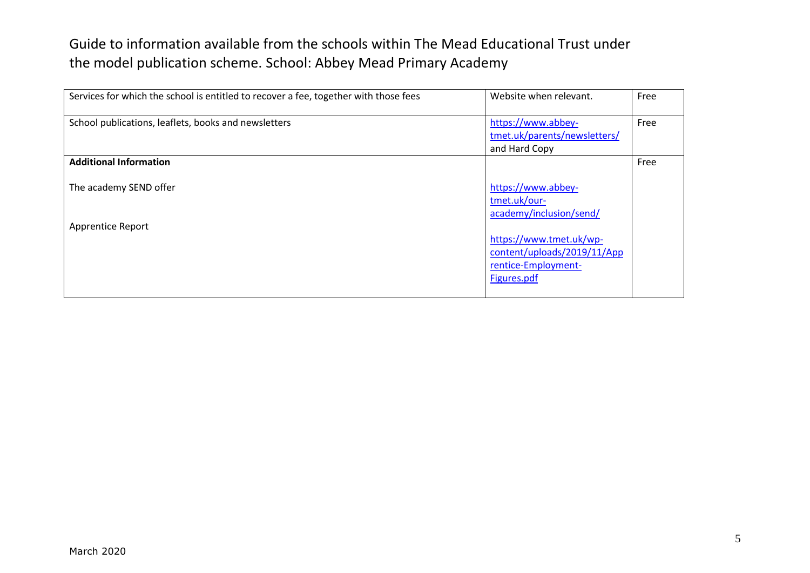| Services for which the school is entitled to recover a fee, together with those fees | Website when relevant.                                                                       | Free |
|--------------------------------------------------------------------------------------|----------------------------------------------------------------------------------------------|------|
| School publications, leaflets, books and newsletters                                 | https://www.abbey-<br>tmet.uk/parents/newsletters/<br>and Hard Copy                          | Free |
| <b>Additional Information</b>                                                        |                                                                                              | Free |
| The academy SEND offer                                                               | https://www.abbey-<br>tmet.uk/our-<br>academy/inclusion/send/                                |      |
| <b>Apprentice Report</b>                                                             | https://www.tmet.uk/wp-<br>content/uploads/2019/11/App<br>rentice-Employment-<br>Figures.pdf |      |